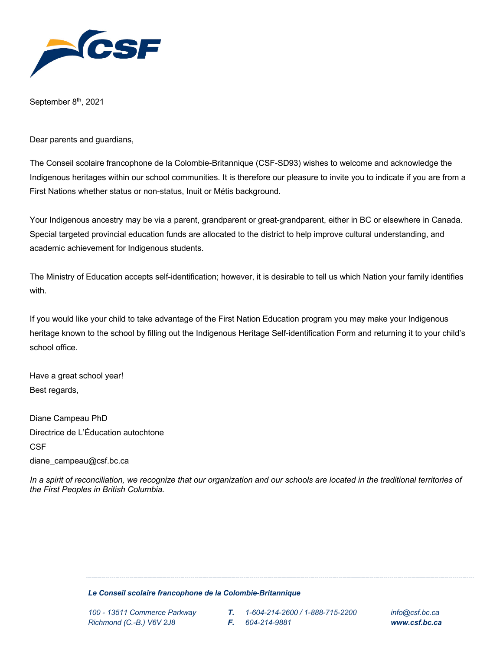

September 8<sup>th</sup>, 2021

Dear parents and guardians,

The Conseil scolaire francophone de la Colombie-Britannique (CSF-SD93) wishes to welcome and acknowledge the Indigenous heritages within our school communities. It is therefore our pleasure to invite you to indicate if you are from a First Nations whether status or non-status, Inuit or Métis background.

Your Indigenous ancestry may be via a parent, grandparent or great-grandparent, either in BC or elsewhere in Canada. Special targeted provincial education funds are allocated to the district to help improve cultural understanding, and academic achievement for Indigenous students.

The Ministry of Education accepts self-identification; however, it is desirable to tell us which Nation your family identifies with.

If you would like your child to take advantage of the First Nation Education program you may make your Indigenous heritage known to the school by filling out the Indigenous Heritage Self-identification Form and returning it to your child's school office.

Have a great school year! Best regards,

Diane Campeau PhD Directrice de L'Éducation autochtone **CSF** diane\_campeau@csf.bc.ca

*In a spirit of reconciliation, we recognize that our organization and our schools are located in the traditional territories of the First Peoples in British Columbia.*

## *Le Conseil scolaire francophone de la Colombie-Britannique*

- *100 - 13511 Commerce Parkway T. 1-604-214-2600 / 1-888-715-2200 info@csf.bc.ca*
	-